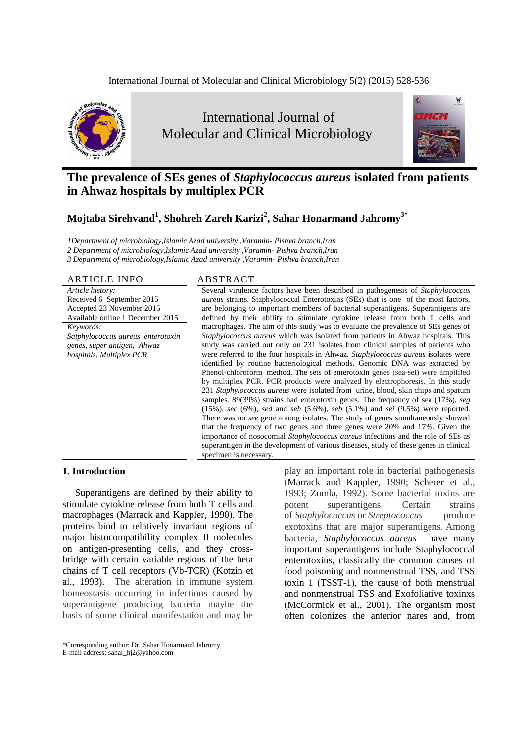

# International Journal of Molecular and Clinical Microbiology



# **The prevalence of SEs genes of** *Staphylococcus aureus* **isolated from patients in Ahwaz hospitals by multiplex PCR**

# **Mojtaba Sirehvand<sup>1</sup> , Shohreh Zareh Karizi<sup>2</sup> , Sahar Honarmand Jahromy3\***

*1Department of microbiology,Islamic Azad university ,Varamin- Pishva branch,Iran*

*2 Department of microbiology,Islamic Azad university ,Varamin- Pishva branch,Iran*

*3 Department of microbiology,Islamic Azad university ,Varamin- Pishva branch,Iran*

### ARTICLE INFO ABSTRACT

*Article history:* Received 6 September 2015 Accepted 23 November 2015 Available online 1 December 2015

*Keywords: Satphylococcus aureus ,enterotoxin genes, super antigen, Ahwaz hospitals, Multiplex PCR*

Several virulence factors have been described in pathogenesis of *Staphylococcus aureus* strains. Staphylococcal Enterotoxins (SEs) that is one of the most factors, are belonging to important members of bacterial superantigens. Superantigens are defined by their ability to stimulate cytokine release from both T cells and macrophages. The aim of this study was to evaluate the prevalence of SEs genes of *Staphylococcus aureus* which was isolated from patients in Ahwaz hospitals. This study was carried out only on 231 isolates from clinical samples of patients who were referred to the four hospitals in Ahwaz. *Staphylococcus aureus* isolates were identified by routine bacteriological methods. Genomic DNA was extracted by [Phenol-chloroform](https://www.google.nl/url?sa=t&rct=j&q=&esrc=s&source=web&cd=1&cad=rja&uact=8&ved=0CCkQFjAA&url=http%3A%2F%2Fphysiology.med.cornell.edu%2Ffaculty%2Fmason%2Flab%2Fzumbo%2Ffiles%2FPHENOL-CHLOROFORM.pdf&ei=RN-MVfjaC-TG7AaVgYHgDw&usg=AFQjCNFgexaYrbpJQs43-lv41Ox0TyUJ2g) method. The sets of enterotoxin genes (sea-sei) were amplified by multiplex PCR. PCR products were analyzed by electrophoresis. In this study 231 *Staphylococcus aureus* were isolated from urine, blood, skin chips and spatum samples. 89(39%) strains had enterotoxin genes. The frequency of sea (17%), *seg* (15%), *sec* (6%), *sed* and *seh* (5.6%), *seb* (5.1%) and *sei* (9.5%) were reported. There was no *see* gene among isolates. The study of genes simultaneously showed that the frequency of two genes and three genes were 20% and 17%. Given the importance of nosocomial *Staphylococcus aureus* infections and the role of SEs as superantigen in the development of various diseases, study of these genes in clinical specimen is necessary.

# **1. Introduction**

Superantigens are defined by their ability to stimulate cytokine release from both T cells and macrophages (Marrack and Kappler, 1990). The proteins bind to relatively invariant regions of major histocompatibility complex II molecules on antigen-presenting cells, and they crossbridge with certain variable regions of the beta chains of T cell receptors (Vb-TCR) (Kotzin et al., 1993). The alteration in immune system homeostasis occurring in infections caused by superantigene producing bacteria maybe the basis of some clinical manifestation and may be

play an important role in bacterial pathogenesis (Marrack and Kappler, 1990; Scherer et al., 1993; Zumla, 1992). Some bacterial toxins are potent superantigens. Certain strains of *Staphylococcus* or *Streptococcus* produce exotoxins that are major superantigens. Among bacteria, *Staphylococcus aureus* have many important superantigens include Staphylococcal enterotoxins, classically the common causes of food poisoning and nonmenstrual TSS, and TSS toxin 1 (TSST-1), the cause of both menstrual and nonmenstrual TSS and Exofoliative toxinxs (McCormick et al., 2001). The organism most often colonizes the anterior nares and, from

<sup>\*</sup>Corresponding author: Dr. Sahar Honarmand Jahromy E-mail address: sahar\_hj2@yahoo.com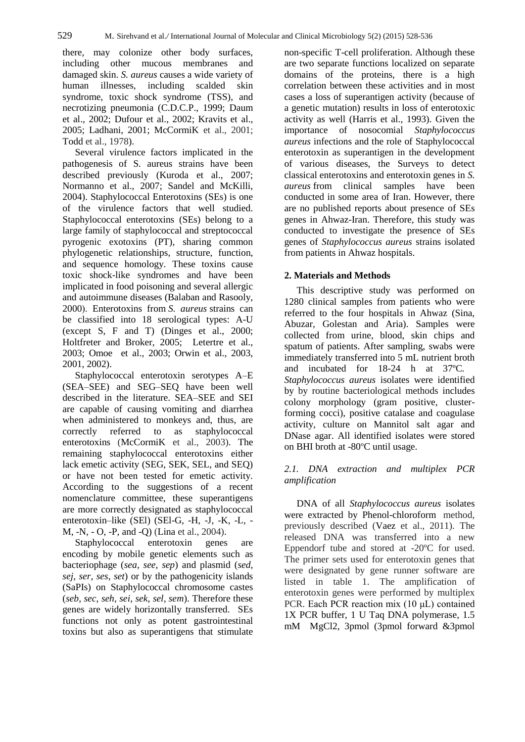there, may colonize other body surfaces, including other mucous membranes and damaged skin. *S. aureus* causes a wide variety of human illnesses, including scalded skin syndrome, toxic shock syndrome (TSS), and necrotizing pneumonia (C.D.C.P., 1999; Daum et al., 2002; Dufour et al., 2002; Kravits et al., 2005; Ladhani, 2001; McCormiK et al., 2001; Todd et al., 1978).

Several virulence factors implicated in the pathogenesis of S. aureus strains have been described previously (Kuroda et al., 2007; Normanno et al., 2007; Sandel and McKilli, 2004). Staphylococcal Enterotoxins (SEs) is one of the virulence factors that well studied. Staphylococcal enterotoxins (SEs) belong to a large family of staphylococcal and streptococcal pyrogenic exotoxins (PT), sharing common phylogenetic relationships, structure, function, and sequence homology. These toxins cause toxic shock-like syndromes and have been implicated in food poisoning and several allergic and autoimmune diseases (Balaban and Rasooly, 2000(. Enterotoxins from *S. aureus* strains can be classified into 18 serological types: A-U (except S, F and T) (Dinges et al., 2000; Holtfreter and Broker, 2005; Letertre et al., 2003; Omoe et al., 2003; Orwin et al., 2003, 2001, 2002).

Staphylococcal enterotoxin serotypes A–E (SEA–SEE) and SEG–SEQ have been well described in the literature. SEA–SEE and SEI are capable of causing vomiting and diarrhea when administered to monkeys and, thus, are correctly referred to as staphylococcal enterotoxins (McCormiK et al., 2003). The remaining staphylococcal enterotoxins either lack emetic activity (SEG, SEK, SEL, and SEQ) or have not been tested for emetic activity. According to the suggestions of a recent nomenclature committee, these superantigens are more correctly designated as staphylococcal enterotoxin–like (SEl) (SEl-G, -H, -J, -K, -L, - M, -N, - O, -P, and -Q) (Lina et al., 2004).

Staphylococcal enterotoxin genes are encoding by mobile genetic elements such as bacteriophage (*sea, see, sep*) and plasmid (*sed, sej, ser, ses, set*) or by the pathogenicity islands (SaPIs) on Staphylococcal chromosome castes (*seb, sec*, *seh, sei, sek, sel, sem*). Therefore these genes are widely horizontally transferred. SEs functions not only as potent gastrointestinal toxins but also as superantigens that stimulate

non-specific T-cell proliferation. Although these are two separate functions localized on separate domains of the proteins, there is a high correlation between these activities and in most cases a loss of superantigen activity (because of a genetic mutation) results in loss of enterotoxic activity as well (Harris et al., 1993). Given the importance of nosocomial *Staphylococcus aureus* infections and the role of Staphylococcal enterotoxin as superantigen in the development of various diseases, the Surveys to detect classical enterotoxins and enterotoxin genes in *S. aureus* from clinical samples have been conducted in some area of Iran. However, there are no published reports about presence of SEs genes in Ahwaz-Iran. Therefore, this study was conducted to investigate the presence of SEs genes of *Staphylococcus aureus* strains isolated from patients in Ahwaz hospitals.

# **2. Materials and Methods**

This descriptive study was performed on 1280 clinical samples from patients who were referred to the four hospitals in Ahwaz (Sina, Abuzar, Golestan and Aria). Samples were collected from urine, blood, skin chips and spatum of patients. After sampling, swabs were immediately transferred into 5 mL nutrient broth and incubated for 18-24 h at 37ºC*. Staphylococcus aureus* isolates were identified by by routine bacteriological methods includes colony morphology (gram positive, clusterforming cocci), positive catalase and coagulase activity, culture on Mannitol salt agar and DNase agar. All identified isolates were stored on BHI broth at -80ºC until usage.

# *2.1. DNA extraction and multiplex PCR amplification*

DNA of all *Staphylococcus aureus* isolates were extracted by [Phenol-chloroform](https://www.google.nl/url?sa=t&rct=j&q=&esrc=s&source=web&cd=1&cad=rja&uact=8&ved=0CCkQFjAA&url=http%3A%2F%2Fphysiology.med.cornell.edu%2Ffaculty%2Fmason%2Flab%2Fzumbo%2Ffiles%2FPHENOL-CHLOROFORM.pdf&ei=RN-MVfjaC-TG7AaVgYHgDw&usg=AFQjCNFgexaYrbpJQs43-lv41Ox0TyUJ2g) method, previously described (Vaez et al., 2011). The released DNA was transferred into a new Eppendorf tube and stored at -20ºC for used. The primer sets used for enterotoxin genes that were designated by gene runner software are listed in table 1. The amplification of enterotoxin genes were performed by multiplex PCR. Each PCR reaction mix (10 μL) contained 1X PCR buffer, 1 U Taq DNA polymerase, 1.5 mM MgCl2, 3pmol (3pmol forward &3pmol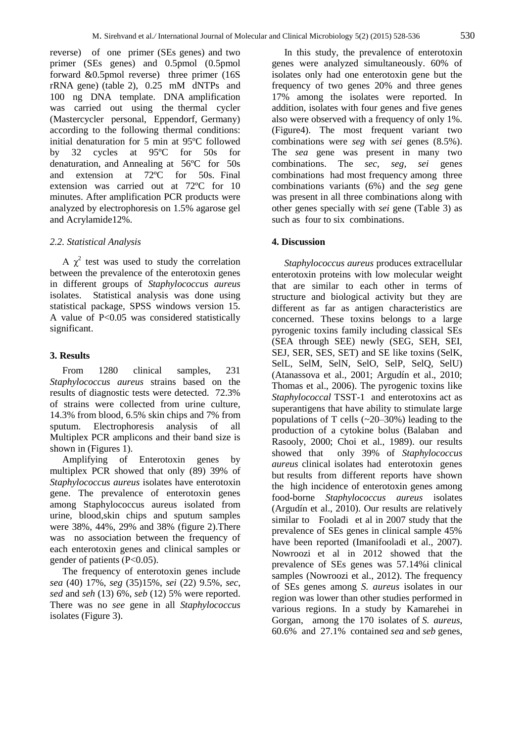reverse) of one primer (SEs genes) and two primer (SEs genes) and 0.5pmol (0.5pmol forward &0.5pmol reverse) three primer (16S rRNA gene) (table 2), 0.25 mM dNTPs and 100 ng DNA template. DNA amplification was carried out using the thermal cycler (Mastercycler personal, Eppendorf, Germany) according to the following thermal conditions: initial denaturation for 5 min at 95ºC followed by 32 cycles at 95ºC for 50s for denaturation, and Annealing at 56ºC for 50s and extension at 72ºC for 50s. Final extension was carried out at 72ºC for 10 minutes. After amplification PCR products were analyzed by electrophoresis on 1.5% agarose gel and Acrylamide12%.

### *2.2. Statistical Analysis*

A  $\chi^2$  test was used to study the correlation between the prevalence of the enterotoxin genes in different groups of *Staphylococcus aureus* isolates. Statistical analysis was done using statistical package, SPSS windows version 15. A value of P<0.05 was considered statistically significant.

#### **3. Results**

From 1280 clinical samples, 231 *Staphylococcus aureus* strains based on the results of diagnostic tests were detected. 72.3% of strains were collected from urine culture, 14.3% from blood, 6.5% skin chips and 7% from sputum. Electrophoresis analysis of all Multiplex PCR amplicons and their band size is shown in (Figures 1).

Amplifying of Enterotoxin genes by multiplex PCR showed that only (89) 39% of *Staphylococcus aureus* isolates have enterotoxin gene. The prevalence of enterotoxin genes among Staphylococcus aureus isolated from urine, blood,skin chips and sputum samples were 38%, 44%, 29% and 38% (figure 2).There was no association between the frequency of each enterotoxin genes and clinical samples or gender of patients  $(P<0.05)$ .

The frequency of enterotoxin genes include *sea* (40) 17%, *seg* (35)15%, *sei* (22) 9.5%, *sec*, *sed* and *seh* (13) 6%, *seb* (12) 5% were reported. There was no *see* gene in all *Staphylococcus* isolates (Figure 3).

In this study, the prevalence of enterotoxin genes were analyzed simultaneously. 60% of isolates only had one enterotoxin gene but the frequency of two genes 20% and three genes 17% among the isolates were reported. In addition, isolates with four genes and five genes also were observed with a frequency of only 1%. (Figure4). The most frequent variant two combinations were *seg* with *sei* genes (8.5%). The *sea* gene was present in many two combinations. The *sec, seg, sei* gene*s*  combinationshad most frequency among three combinations variants (6%) and the *seg* gene was present in all three combinations along with other genes specially with *sei* gene (Table 3) as such as four to six combinations.

#### **4. Discussion**

*Staphylococcus aureus* produces extracellular enterotoxin proteins with low molecular weight that are similar to each other in terms of structure and biological activity but they are different as far as antigen characteristics are concerned. These toxins belongs to a large pyrogenic toxins family including classical SEs (SEA through SEE) newly (SEG, SEH, SEI, SEJ, SER, SES, SET) and SE like toxins (SelK, SelL, SelM, SelN, SelO, SelP, SelQ, SelU) (Atanassova et al., 2001; Argudín et al., 2010; Thomas et al., 2006). The pyrogenic toxins like *Staphylococcal* TSST-1 and enterotoxins act as superantigens that have ability to stimulate large populations of T cells (~20–30%) leading to the production of a cytokine bolus (Balaban and Rasooly, 2000; Choi et al., 1989). our results showed that only 39% of *Staphylococcus aureus* clinical isolates had enterotoxin genes but results from different reports have shown the high incidence of enterotoxin genes among food-borne *Staphylococcus aureus* isolates (Argudín et al., 2010). Our results are relatively similar to Fooladi et al in 2007 study that the prevalence of SEs genes in clinical sample 45% have been reported (Imanifooladi et al., 2007). Nowroozi et al in 2012 showed that the prevalence of SEs genes was 57.14%i clinical samples (Nowroozi et al., 2012). The frequency of SEs genes among *S. aureus* isolates in our region was lower than other studies performed in various regions. In a study by Kamarehei in Gorgan, among the 170 isolates of *S. aureus*, 60.6% and 27.1% contained *sea* and *seb* genes,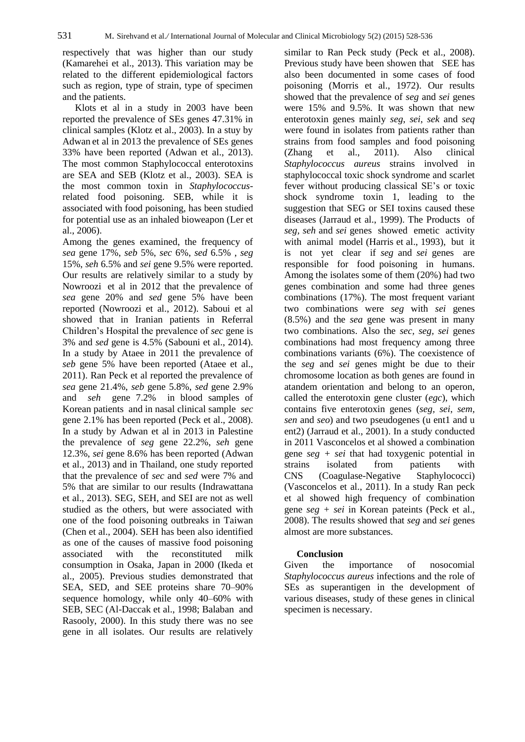respectively that was higher than our study (Kamarehei et al., 2013). This variation may be related to the different epidemiological factors such as region, type of strain, type of specimen and the patients.

Klots et al in a study in 2003 have been reported the prevalence of SEs genes 47.31% in clinical samples (Klotz et al., 2003). In a stuy by Adwan et al in 2013 the prevalence of SEs genes 33% have been reported (Adwan et al., 2013). The most common Staphylococcal enterotoxins are SEA and SEB (Klotz et al., 2003). SEA is the most common toxin in *Staphylococcus*related food poisoning. SEB, while it is associated with food poisoning, has been studied for potential use as an inhaled bioweapon (Ler et al., 2006).

Among the genes examined, the frequency of *sea* gene 17%, *seb* 5%, *sec* 6%, *sed* 6.5% , *seg*  15%, *seh* 6.5% and *sei* gene 9.5% were reported. Our results are relatively similar to a study by Nowroozi et al in 2012 that the prevalence of *sea* gene 20% and *sed* gene 5% have been reported (Nowroozi et al., 2012). Saboui et al showed that in Iranian patients in Referral Children's Hospital the prevalence of *sec* gene is 3% and *sed* gene is 4.5% (Sabouni et al., 2014). In a study by Ataee in 2011 the prevalence of *seb* gene 5% have been reported (Ataee et al., 2011). Ran Peck et al reported the prevalence of *sea* gene 21.4%, *seb* gene 5.8%, *sed* gene 2.9% and *seh* gene 7.2% in blood samples of Korean patients and in nasal clinical sample *sec* gene 2.1% has been reported (Peck et al., 2008). In a study by Adwan et al in 2013 in Palestine the prevalence of *seg* gene 22.2%, *seh* gene 12.3%, *sei* gene 8.6% has been reported (Adwan et al., 2013) and in Thailand, one study reported that the prevalence of *sec* and *sed* were 7% and 5% that are similar to our results (Indrawattana et al., 2013). SEG, SEH, and SEI are not as well studied as the others, but were associated with one of the food poisoning outbreaks in Taiwan (Chen et al., 2004). SEH has been also identified as one of the causes of massive food poisoning associated with the reconstituted milk consumption in Osaka, Japan in 2000 (Ikeda et al., 2005). Previous studies demonstrated that SEA, SED, and SEE proteins share 70–90% sequence homology, while only 40–60% with SEB, SEC (Al-Daccak et al., 1998; Balaban and Rasooly, 2000). In this study there was no see gene in all isolates. Our results are relatively

similar to Ran Peck study (Peck et al., 2008). Previous study have been showen that SEE has also been documented in some cases of food poisoning (Morris et al., 1972). Our results showed that the prevalence of *seg* and *sei* genes were 15% and 9.5%. It was shown that new enterotoxin genes mainly *seg*, *sei*, *sek* and *seq* were found in isolates from patients rather than strains from food samples and food poisoning (Zhang et al., 2011). Also clinical *Staphylococcus aureus* strains involved in staphylococcal toxic shock syndrome and scarlet fever without producing classical SE's or toxic shock syndrome toxin 1, leading to the suggestion that SEG or SEI toxins caused these diseases (Jarraud et al., 1999). The Products of *seg, seh* and *sei* genes showed emetic activity with animal model (Harris et al., 1993), but it is not yet clear if *seg* and *sei* genes are responsible for food poisoning in humans. Among the isolates some of them (20%) had two genes combination and some had three genes combinations (17%). The most frequent variant two combinations were *seg* with *sei* genes (8.5%) and the *sea* gene was present in many two combinations. Also the *sec, seg, sei* gene*s*  combinations had most frequency among three combinations variants (6%). The coexistence of the *seg* and *sei* genes might be due to their chromosome location as both genes are found in atandem orientation and belong to an operon, called the enterotoxin gene cluster (*egc*), which contains five enterotoxin genes (*seg, sei*, *sem, sen* and *seo*) and two pseudogenes (u ent1 and u ent2) (Jarraud et al., 2001). In a study conducted in 2011 Vasconcelos et al showed a combination gene *seg + sei* that had toxygenic potential in strains isolated from patients with CNS (Coagulase-Negative Staphylococci) (Vasconcelos et al., 2011). In a study Ran peck et al showed high frequency of combination gene *seg + sei* in Korean pateints (Peck et al., 2008). The results showed that *seg* and *sei* genes almost are more substances.

# **Conclusion**

Given the importance of nosocomial *Staphylococcus aureus* infections and the role of SEs as superantigen in the development of various diseases, study of these genes in clinical specimen is necessary.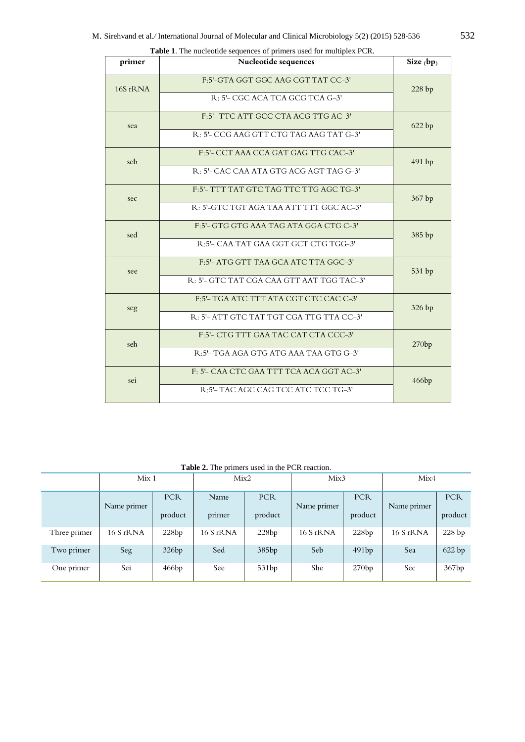| primer   | Nucleotide sequences                        | Size $(bp)$ |  |  |  |  |
|----------|---------------------------------------------|-------------|--|--|--|--|
| 16S rRNA | F:5'-GTA GGT GGC AAG CGT TAT CC-3'<br>228bp |             |  |  |  |  |
|          | R: 5'- CGC ACA TCA GCG TCA G-3'             |             |  |  |  |  |
| sea      | F:5'- TTC ATT GCC CTA ACG TTG AC-3'         | 622 bp      |  |  |  |  |
|          | R: 5'- CCG AAG GTT CTG TAG AAG TAT G-3'     |             |  |  |  |  |
| seb      | F:5'- CCT AAA CCA GAT GAG TTG CAC-3'        | 491 bp      |  |  |  |  |
|          | R: 5'- CAC CAA ATA GTG ACG AGT TAG G-3'     |             |  |  |  |  |
| sec      | F:5'- TTT TAT GTC TAG TTC TTG AGC TG-3'     | 367 bp      |  |  |  |  |
|          | R: 5'-GTC TGT AGA TAA ATT TTT GGC AC-3'     |             |  |  |  |  |
| sed      | F:5'- GTG GTG AAA TAG ATA GGA CTG C-3'      | 385 bp      |  |  |  |  |
|          | R:5'- CAA TAT GAA GGT GCT CTG TGG-3'        |             |  |  |  |  |
| see      | F:5'- ATG GTT TAA GCA ATC TTA GGC-3'        | 531 bp      |  |  |  |  |
|          | R: 5'- GTC TAT CGA CAA GTT AAT TGG TAC-3'   |             |  |  |  |  |
| seg      | F:5'- TGA ATC TTT ATA CGT CTC CAC C-3'      | 326 bp      |  |  |  |  |
|          | R: 5'-ATT GTC TAT TGT CGA TTG TTA CC-3'     |             |  |  |  |  |
| seh      | F:5'- CTG TTT GAA TAC CAT CTA CCC-3'        | 270bp       |  |  |  |  |
|          | R: 5'- TGA AGA GTG ATG AAA TAA GTG G-3'     |             |  |  |  |  |
| sei      | F: 5'- CAA CTC GAA TTT TCA ACA GGT AC-3'    | 466bp       |  |  |  |  |
|          | R:5'-TAC AGC CAG TCC ATC TCC TG-3'          |             |  |  |  |  |

**Table 1**. The nucleotide sequences of primers used for multiplex PCR.

**Table 2.** The primers used in the PCR reaction.

|              | Mix <sub>1</sub> |            | Mix2      |            | Mix3        |            | Mix4        |            |
|--------------|------------------|------------|-----------|------------|-------------|------------|-------------|------------|
|              | Name primer      | <b>PCR</b> | Name      | <b>PCR</b> | Name primer | <b>PCR</b> | Name primer | <b>PCR</b> |
|              |                  | product    | primer    | product    |             | product    |             | product    |
| Three primer | 16 S rRNA        | 228bp      | 16 S rRNA | 228bp      | 16 S rRNA   | 228bp      | 16 S rRNA   | 228bp      |
| Two primer   | Seg              | 326bp      | Sed       | 385bp      | Seb         | 491bp      | Sea         | 622 bp     |
| One primer   | Sei              | 466bp      | See       | 531bp      | She         | 270bp      | Sec         | 367bp      |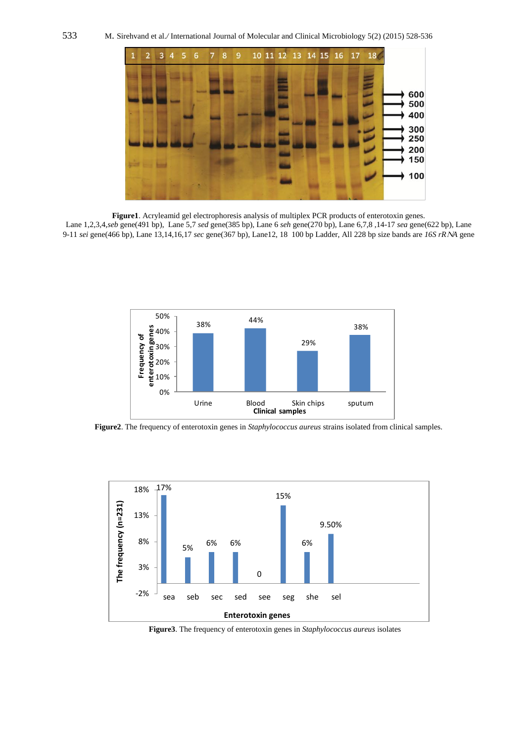

**Figure1**. Acryleamid gel electrophoresis analysis of multiplex PCR products of enterotoxin genes.

Lane 1,2,3,4,*seb* gene(491 bp), Lane 5,7 *sed* gene(385 bp), Lane 6 *seh* gene(270 bp), Lane 6,7,8 ,14-17 *sea* gene(622 bp), Lane 9-11 *sei* gene(466 bp), Lane 13,14,16,17 *sec* gene(367 bp), Lane12, 18 100 bp Ladder, All 228 bp size bands are *16S rR A* gene



**Figure2**. The frequency of enterotoxin genes in *Staphylococcus aureus* strains isolated from clinical samples.



**Figure3**. The frequency of enterotoxin genes in *Staphylococcus aureus* isolates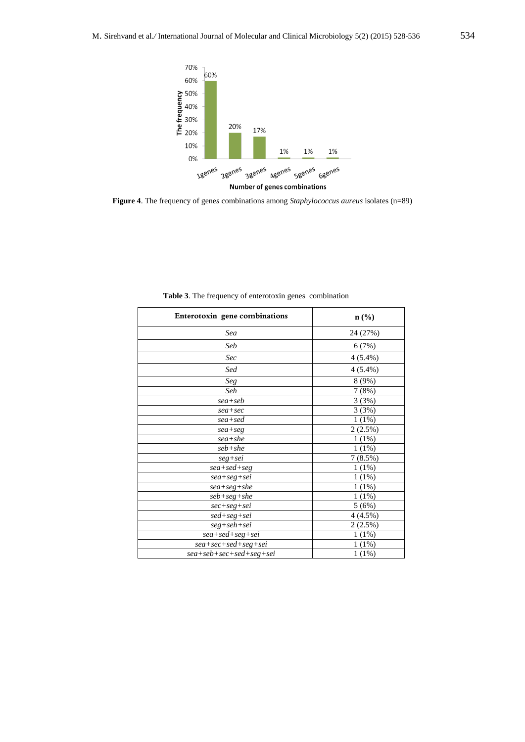

**Figure 4**. The frequency of gene*s* combinations among *Staphylococcus aureus* isolates (n=89)

| Enterotoxin gene combinations       | $\mathbf{n}(\%)$      |  |  |
|-------------------------------------|-----------------------|--|--|
| Sea                                 | 24 (27%)              |  |  |
| Seb                                 | 6(7%)                 |  |  |
| Sec                                 | $4(5.4\%)$            |  |  |
| Sed                                 | $4(5.4\%)$            |  |  |
| Seg                                 | 8(9%)                 |  |  |
| Seh                                 | 7(8%)                 |  |  |
| $sea+seb$                           | 3(3%)                 |  |  |
| $sea+sec$                           | 3(3%)                 |  |  |
| sea+sed                             | 1(1%)                 |  |  |
| $sea+seg$                           | $2(2.5\%)$            |  |  |
| sea+she                             | 1(1%)                 |  |  |
| seb+she                             | $1(1\%)$              |  |  |
| $seg+sei$                           | $7(8.5\%)$            |  |  |
| $sea + sed + seg$                   | 1(1%)                 |  |  |
| $sea+seg+sei$                       | 1(1%)                 |  |  |
| $sea+seg+she$                       | $1(1\%)$              |  |  |
| $seb+seg+she$                       | $1(1\%)$              |  |  |
| $sec+seg+sei$                       | 5(6%)                 |  |  |
| $sed+seg+sei$                       | $\overline{4}$ (4.5%) |  |  |
| $seg + seh + sei$                   | $2(2.5\%)$            |  |  |
| $sea + sed + seg + sei$             | 1(1%)                 |  |  |
| $sea + sec + sed + seg + sei$       | $1(1\%)$              |  |  |
| $sea + seb + sec + sed + seg + sei$ | 1(1%)                 |  |  |

**Table 3**. The frequency of enterotoxin genes combination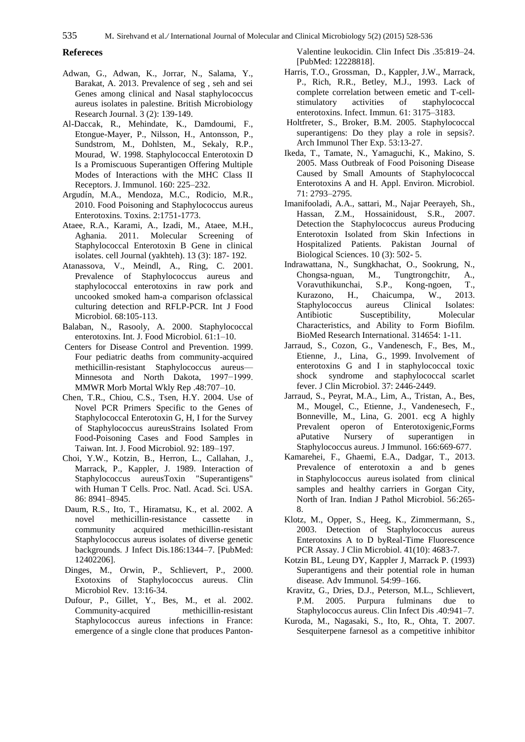# **Refereces**

- Adwan, G., Adwan, K., Jorrar, N., Salama, Y., Barakat, A. 2013. Prevalence of seg , seh and sei Genes among clinical and Nasal staphylococcus aureus isolates in palestine. British Microbiology Research Journal. 3 (2): 139-149.
- Al-Daccak, R., Mehindate, K., Damdoumi, F., Etongue-Mayer, P., Nilsson, H., Antonsson, P., Sundstrom, M., Dohlsten, M., Sekaly, R.P., Mourad, W. 1998. Staphylococcal Enterotoxin D Is a Promiscuous Superantigen Offering Multiple Modes of Interactions with the MHC Class II Receptors. J. Immunol. 160: 225–232.
- Argudín, M.A., Mendoza, M.C., Rodicio, M.R., 2010. Food Poisoning and Staphylococcus aureus Enterotoxins. Toxins. 2:1751-1773.
- Ataee, R.A., Karami, A., Izadi, M., Ataee, M.H., Aghania. 2011. Molecular Screening of Staphylococcal Enterotoxin B Gene in clinical isolates. cell Journal (yakhteh). 13 (3): 187- 192.
- Atanassova, V., Meindl, A., Ring, C. 2001. Prevalence of Staphylococcus aureus and staphylococcal enterotoxins in raw pork and uncooked smoked ham-a comparison ofclassical culturing detection and RFLP-PCR. Int J Food Microbiol. 68:105-113.
- Balaban, N., Rasooly, A. 2000. Staphylococcal enterotoxins. Int. J. Food Microbiol. 61:1–10.
- Centers for Disease Control and Prevention. 1999. Four pediatric deaths from community-acquired methicillin-resistant Staphylococcus aureus— Minnesota and North Dakota, 1997−1999. MMWR Morb Mortal Wkly Rep .48:707–10.
- Chen, T.R., Chiou, C.S., Tsen, H.Y. 2004. Use of Novel PCR Primers Specific to the Genes of Staphylococcal Enterotoxin G, H, I for the Survey of Staphylococcus aureusStrains Isolated From Food-Poisoning Cases and Food Samples in Taiwan. Int. J. Food Microbiol. 92: 189–197.
- Choi, Y.W., Kotzin, B., Herron, L., Callahan, J., Marrack, P., Kappler, J. 1989. Interaction of Staphylococcus aureusToxin "Superantigens" with Human T Cells. Proc. Natl. Acad. Sci. USA. 86: 8941–8945.
- Daum, R.S., Ito, T., Hiramatsu, K., et al. 2002. A novel methicillin-resistance cassette in community acquired methicillin-resistant Staphylococcus aureus isolates of diverse genetic backgrounds. J Infect Dis.186:1344–7. [PubMed: 12402206].
- Dinges, M., Orwin, P., Schlievert, P., 2000. Exotoxins of Staphylococcus aureus. Clin Microbiol Rev. 13:16-34.
- Dufour, P., Gillet, Y., Bes, M., et al. 2002. Community-acquired methicillin-resistant Staphylococcus aureus infections in France: emergence of a single clone that produces Panton-

Valentine leukocidin. Clin Infect Dis .35:819–24. [PubMed: 12228818].

- Harris, T.O., Grossman, D., Kappler, J.W., Marrack, P., Rich, R.R., Betley, M.J., 1993. Lack of complete correlation between emetic and T-cellstimulatory activities of staphylococcal enterotoxins. Infect. Immun. 61: 3175–3183.
- Holtfreter, S., Broker, B.M. 2005. Staphylococcal superantigens: Do they play a role in sepsis?. Arch Immunol Ther Exp. 53:13-27.
- Ikeda, T., Tamate, N., Yamaguchi, K., Makino, S. 2005. Mass Outbreak of Food Poisoning Disease Caused by Small Amounts of Staphylococcal Enterotoxins A and H. Appl. Environ. Microbiol. 71: 2793–2795.
- Imanifooladi, A.A., sattari, M., Najar Peerayeh, Sh., Hassan, Z.M., Hossainidoust, S.R., 2007. Detection the Staphylococcus aureus Producing Enterotoxin Isolated from Skin Infections in Hospitalized Patients. Pakistan Journal of Biological Sciences. 10 (3): 502- 5.
- Indrawattana, N., Sungkhachat, O., Sookrung, N., Chongsa-nguan, M., Tungtrongchitr, A., Voravuthikunchai, S.P., Kong-ngoen, T., Voravuthikunchai, S.P., Kong-ngoen, T., Kurazono, H., Chaicumpa, W., 2013. Staphylococcus aureus Clinical Isolates: Antibiotic Susceptibility, Molecular Characteristics, and Ability to Form Biofilm. BioMed Research International. 314654: 1-11.
- Jarraud, S., Cozon, G., Vandenesch, F., Bes, M., Etienne, J., Lina, G., 1999. Involvement of enterotoxins G and I in staphylococcal toxic shock syndrome and staphylococcal scarlet fever. J Clin Microbiol. 37: 2446-2449.
- Jarraud, S., Peyrat, M.A., Lim, A., Tristan, A., Bes, M., Mougel, C., Etienne, J., Vandenesech, F., Bonneville, M., Lina, G. 2001. ecg A highly Prevalent operon of Enterotoxigenic,Forms aPutative Nursery of superantigen in Staphylococcus aureus. J Immunol. 166:669-677.
- Kamarehei, F., Ghaemi, E.A., Dadgar, T., 2013. Prevalence of enterotoxin a and b genes in Staphylococcus aureus isolated from clinical samples and healthy carriers in Gorgan City, North of Iran. Indian J Pathol Microbiol. 56:265- 8.
- Klotz, M., Opper, S., Heeg, K., Zimmermann, S., 2003. Detection of Staphylococcus aureus Enterotoxins A to D byReal-Time Fluorescence PCR Assay. J Clin Microbiol. 41(10): 4683-7.
- Kotzin BL, Leung DY, Kappler J, Marrack P. (1993) Superantigens and their potential role in human disease. Adv Immunol. 54:99–166.
- Kravitz, G., Dries, D.J., Peterson, M.L., Schlievert, P.M. 2005. Purpura fulminans due to Staphylococcus aureus. Clin Infect Dis .40:941–7.
- Kuroda, M., Nagasaki, S., Ito, R., Ohta, T. 2007. Sesquiterpene farnesol as a competitive inhibitor